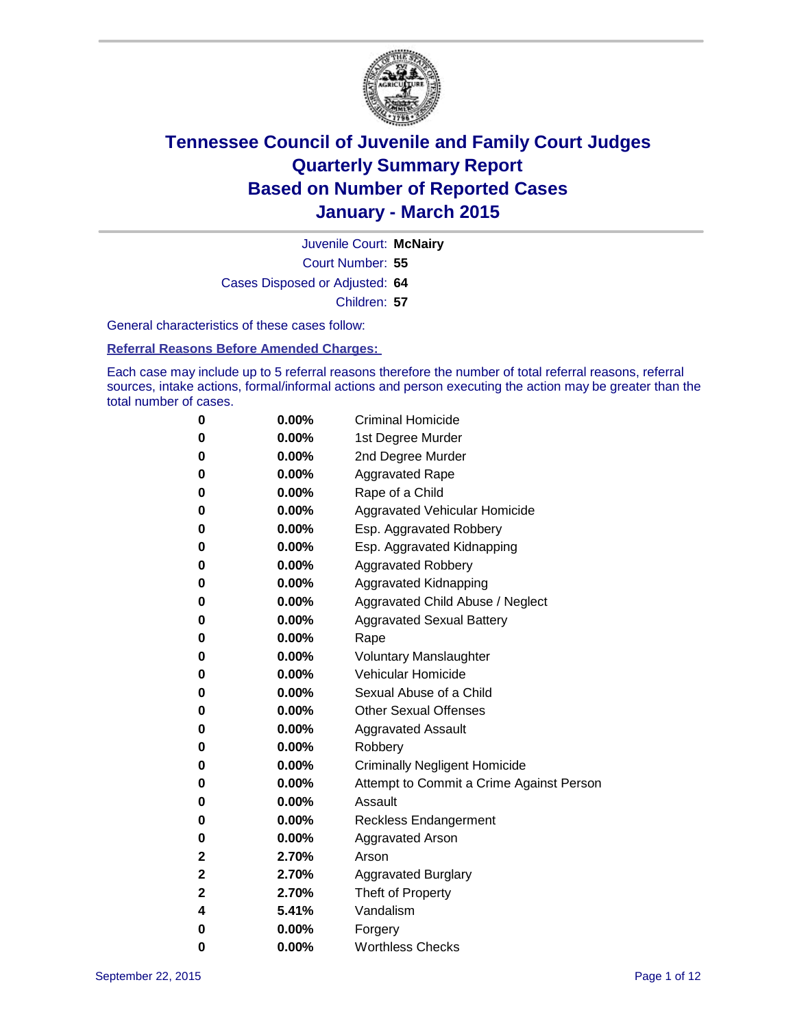

Court Number: **55** Juvenile Court: **McNairy** Cases Disposed or Adjusted: **64** Children: **57**

General characteristics of these cases follow:

**Referral Reasons Before Amended Charges:** 

Each case may include up to 5 referral reasons therefore the number of total referral reasons, referral sources, intake actions, formal/informal actions and person executing the action may be greater than the total number of cases.

| 0           | $0.00\%$ | <b>Criminal Homicide</b>                 |
|-------------|----------|------------------------------------------|
| 0           | $0.00\%$ | 1st Degree Murder                        |
| $\bf{0}$    | $0.00\%$ | 2nd Degree Murder                        |
| 0           | $0.00\%$ | <b>Aggravated Rape</b>                   |
| 0           | $0.00\%$ | Rape of a Child                          |
| 0           | $0.00\%$ | Aggravated Vehicular Homicide            |
| $\bf{0}$    | $0.00\%$ | Esp. Aggravated Robbery                  |
| 0           | $0.00\%$ | Esp. Aggravated Kidnapping               |
| $\bf{0}$    | 0.00%    | <b>Aggravated Robbery</b>                |
| $\bf{0}$    | $0.00\%$ | <b>Aggravated Kidnapping</b>             |
| 0           | 0.00%    | Aggravated Child Abuse / Neglect         |
| 0           | $0.00\%$ | <b>Aggravated Sexual Battery</b>         |
| $\bf{0}$    | $0.00\%$ | Rape                                     |
| 0           | $0.00\%$ | <b>Voluntary Manslaughter</b>            |
| 0           | $0.00\%$ | <b>Vehicular Homicide</b>                |
| $\bf{0}$    | $0.00\%$ | Sexual Abuse of a Child                  |
| $\bf{0}$    | $0.00\%$ | <b>Other Sexual Offenses</b>             |
| 0           | $0.00\%$ | <b>Aggravated Assault</b>                |
| 0           | $0.00\%$ | Robbery                                  |
| $\bf{0}$    | $0.00\%$ | <b>Criminally Negligent Homicide</b>     |
| 0           | $0.00\%$ | Attempt to Commit a Crime Against Person |
| 0           | $0.00\%$ | Assault                                  |
| 0           | 0.00%    | <b>Reckless Endangerment</b>             |
| 0           | $0.00\%$ | <b>Aggravated Arson</b>                  |
| $\mathbf 2$ | 2.70%    | Arson                                    |
| 2           | 2.70%    | <b>Aggravated Burglary</b>               |
| $\mathbf 2$ | 2.70%    | Theft of Property                        |
| 4           | 5.41%    | Vandalism                                |
| $\bf{0}$    | $0.00\%$ | Forgery                                  |
| 0           | 0.00%    | <b>Worthless Checks</b>                  |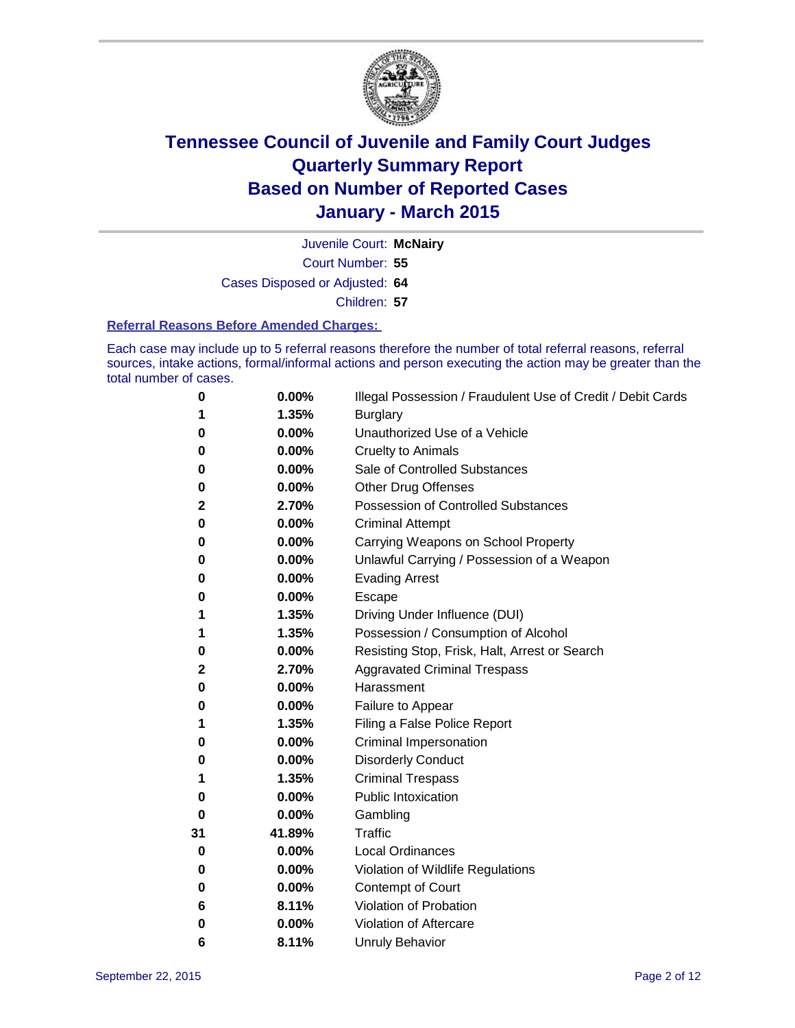

Juvenile Court: **McNairy**

Court Number: **55**

Cases Disposed or Adjusted: **64**

Children: **57**

#### **Referral Reasons Before Amended Charges:**

Each case may include up to 5 referral reasons therefore the number of total referral reasons, referral sources, intake actions, formal/informal actions and person executing the action may be greater than the total number of cases.

| 0        | $0.00\%$ | Illegal Possession / Fraudulent Use of Credit / Debit Cards |
|----------|----------|-------------------------------------------------------------|
| 1        | 1.35%    | <b>Burglary</b>                                             |
| 0        | 0.00%    | Unauthorized Use of a Vehicle                               |
| 0        | 0.00%    | <b>Cruelty to Animals</b>                                   |
| 0        | 0.00%    | Sale of Controlled Substances                               |
| 0        | 0.00%    | <b>Other Drug Offenses</b>                                  |
| 2        | 2.70%    | <b>Possession of Controlled Substances</b>                  |
| 0        | 0.00%    | <b>Criminal Attempt</b>                                     |
| 0        | 0.00%    | Carrying Weapons on School Property                         |
| 0        | 0.00%    | Unlawful Carrying / Possession of a Weapon                  |
| 0        | 0.00%    | <b>Evading Arrest</b>                                       |
| 0        | 0.00%    | Escape                                                      |
| 1        | 1.35%    | Driving Under Influence (DUI)                               |
| 1        | 1.35%    | Possession / Consumption of Alcohol                         |
| 0        | 0.00%    | Resisting Stop, Frisk, Halt, Arrest or Search               |
| 2        | 2.70%    | <b>Aggravated Criminal Trespass</b>                         |
| 0        | 0.00%    | Harassment                                                  |
| 0        | 0.00%    | Failure to Appear                                           |
| 1        | 1.35%    | Filing a False Police Report                                |
| 0        | 0.00%    | Criminal Impersonation                                      |
| 0        | 0.00%    | <b>Disorderly Conduct</b>                                   |
| 1        | 1.35%    | <b>Criminal Trespass</b>                                    |
| 0        | 0.00%    | <b>Public Intoxication</b>                                  |
| $\bf{0}$ | 0.00%    | Gambling                                                    |
| 31       | 41.89%   | <b>Traffic</b>                                              |
| 0        | 0.00%    | <b>Local Ordinances</b>                                     |
| 0        | 0.00%    | Violation of Wildlife Regulations                           |
| 0        | 0.00%    | Contempt of Court                                           |
| 6        | 8.11%    | Violation of Probation                                      |
| 0        | 0.00%    | Violation of Aftercare                                      |
| 6        | 8.11%    | <b>Unruly Behavior</b>                                      |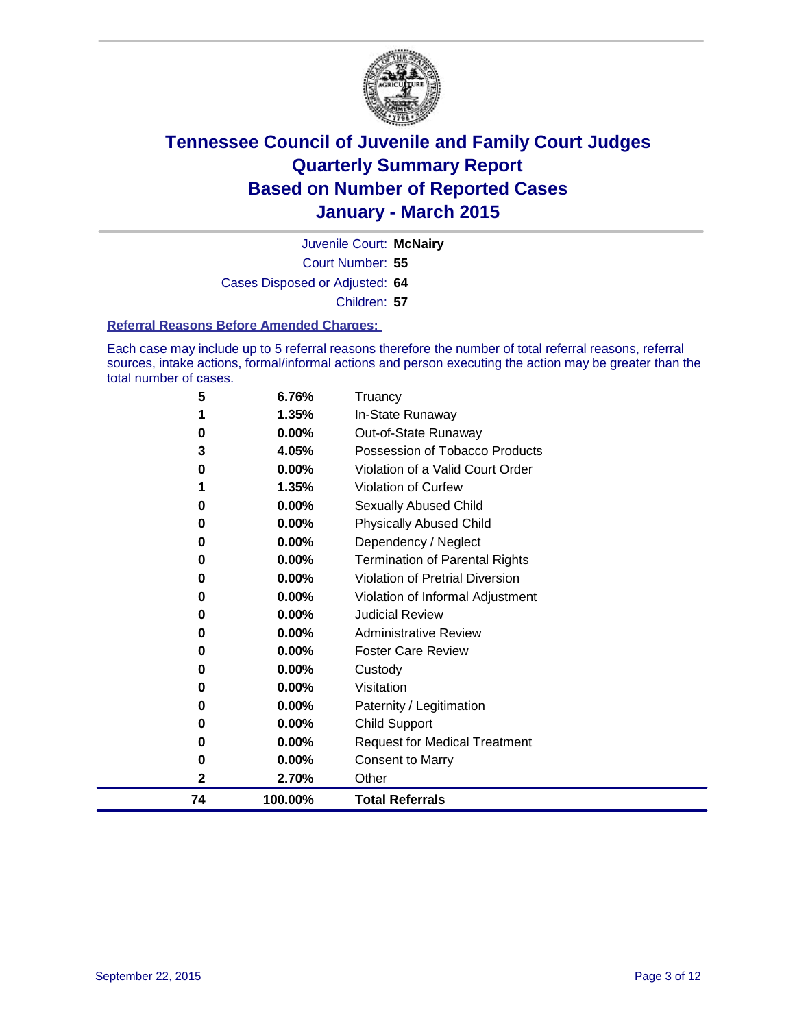

Court Number: **55** Juvenile Court: **McNairy** Cases Disposed or Adjusted: **64** Children: **57**

#### **Referral Reasons Before Amended Charges:**

Each case may include up to 5 referral reasons therefore the number of total referral reasons, referral sources, intake actions, formal/informal actions and person executing the action may be greater than the total number of cases.

| 5  | 6.76%    | Truancy                                |
|----|----------|----------------------------------------|
| 1  | 1.35%    | In-State Runaway                       |
| 0  | 0.00%    | Out-of-State Runaway                   |
| 3  | 4.05%    | Possession of Tobacco Products         |
| 0  | $0.00\%$ | Violation of a Valid Court Order       |
| 1  | 1.35%    | <b>Violation of Curfew</b>             |
| 0  | 0.00%    | <b>Sexually Abused Child</b>           |
| 0  | 0.00%    | <b>Physically Abused Child</b>         |
| 0  | 0.00%    | Dependency / Neglect                   |
| 0  | 0.00%    | <b>Termination of Parental Rights</b>  |
| 0  | 0.00%    | <b>Violation of Pretrial Diversion</b> |
| 0  | 0.00%    | Violation of Informal Adjustment       |
| 0  | $0.00\%$ | <b>Judicial Review</b>                 |
| 0  | 0.00%    | <b>Administrative Review</b>           |
| 0  | 0.00%    | <b>Foster Care Review</b>              |
| 0  | 0.00%    | Custody                                |
| 0  | 0.00%    | Visitation                             |
| 0  | 0.00%    | Paternity / Legitimation               |
| 0  | 0.00%    | <b>Child Support</b>                   |
| 0  | 0.00%    | <b>Request for Medical Treatment</b>   |
| 0  | 0.00%    | <b>Consent to Marry</b>                |
| 2  | 2.70%    | Other                                  |
| 74 | 100.00%  | <b>Total Referrals</b>                 |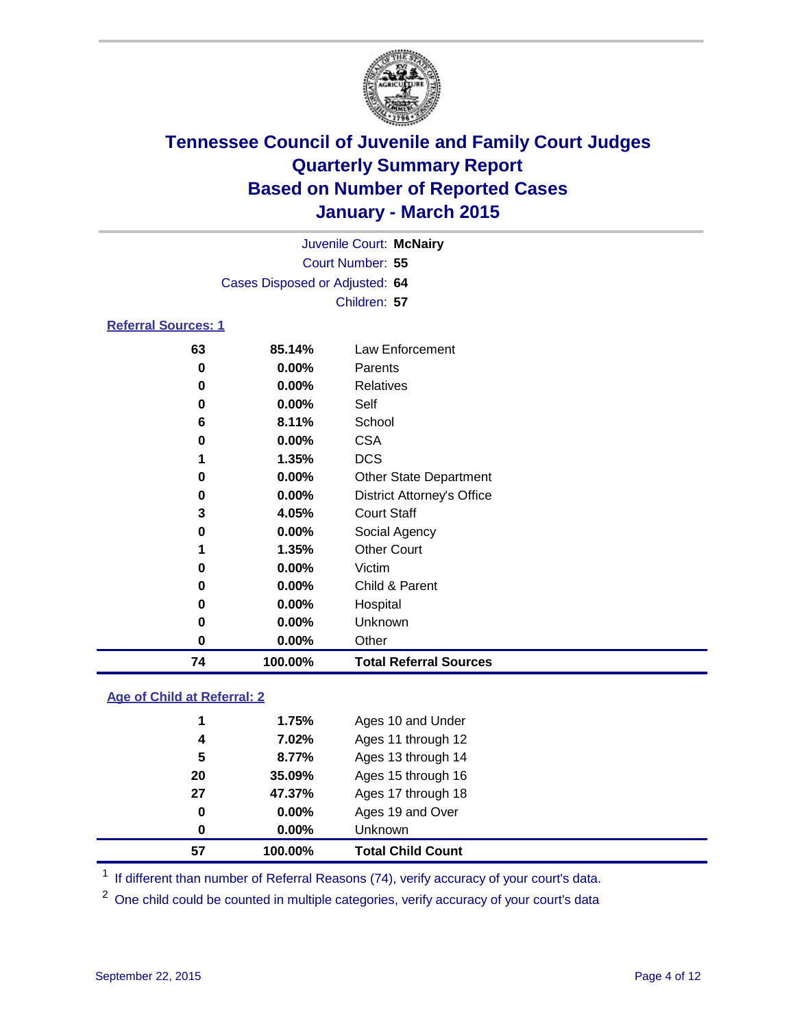

| Juvenile Court: McNairy    |                                |                 |  |  |
|----------------------------|--------------------------------|-----------------|--|--|
|                            | Court Number: 55               |                 |  |  |
|                            | Cases Disposed or Adjusted: 64 |                 |  |  |
|                            | Children: 57                   |                 |  |  |
| <b>Referral Sources: 1</b> |                                |                 |  |  |
| 63                         | 85.14%                         | Law Enforcement |  |  |
| 0                          | $0.00\%$                       | Parents         |  |  |
| 0                          | $0.00\%$                       | Relatives       |  |  |

| 74 | 100.00% | <b>Total Referral Sources</b>     |
|----|---------|-----------------------------------|
| 0  | 0.00%   | Other                             |
| 0  | 0.00%   | Unknown                           |
| 0  | 0.00%   | Hospital                          |
| 0  | 0.00%   | Child & Parent                    |
| 0  | 0.00%   | Victim                            |
| 1  | 1.35%   | <b>Other Court</b>                |
| 0  | 0.00%   | Social Agency                     |
| 3  | 4.05%   | <b>Court Staff</b>                |
| 0  | 0.00%   | <b>District Attorney's Office</b> |
| 0  | 0.00%   | <b>Other State Department</b>     |
| 1  | 1.35%   | <b>DCS</b>                        |
| 0  | 0.00%   | <b>CSA</b>                        |
| 6  | 8.11%   | School                            |
| 0  | 0.00%   | Self                              |
|    |         |                                   |

### **Age of Child at Referral: 2**

| 57 | 100.00%  | <b>Total Child Count</b> |
|----|----------|--------------------------|
| 0  | $0.00\%$ | <b>Unknown</b>           |
| 0  | $0.00\%$ | Ages 19 and Over         |
| 27 | 47.37%   | Ages 17 through 18       |
| 20 | 35.09%   | Ages 15 through 16       |
| 5  | 8.77%    | Ages 13 through 14       |
| 4  | 7.02%    | Ages 11 through 12       |
| 1  | 1.75%    | Ages 10 and Under        |
|    |          |                          |

<sup>1</sup> If different than number of Referral Reasons (74), verify accuracy of your court's data.

One child could be counted in multiple categories, verify accuracy of your court's data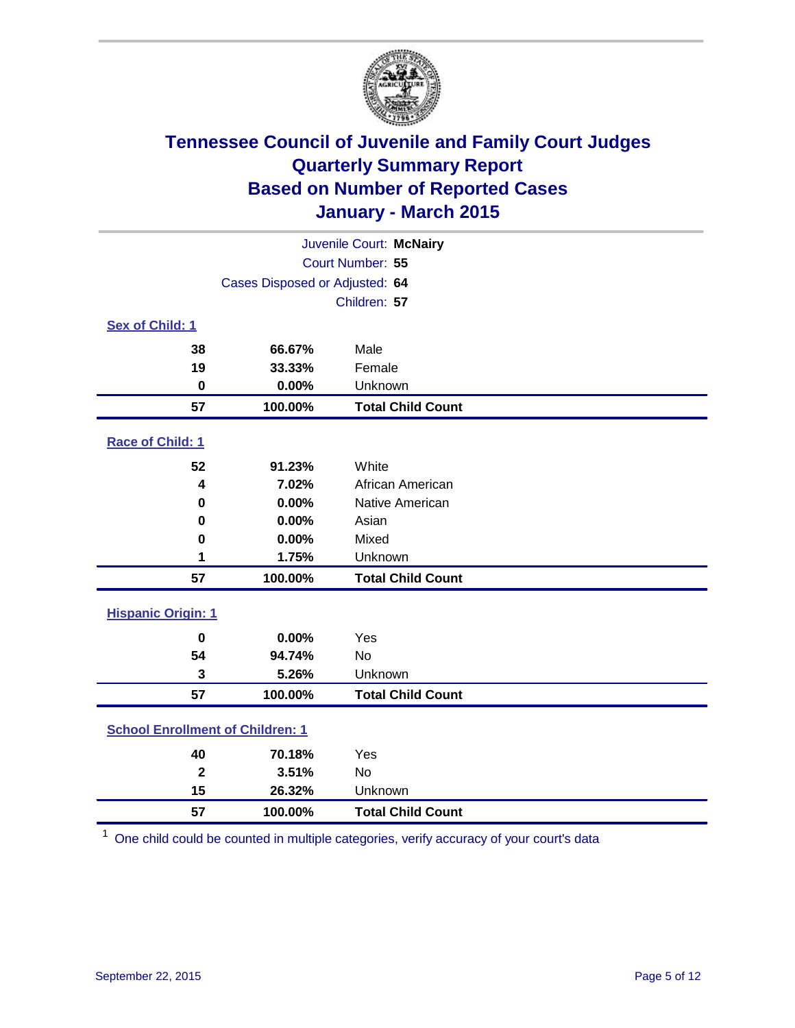

| Juvenile Court: McNairy                 |                                |                          |  |  |
|-----------------------------------------|--------------------------------|--------------------------|--|--|
|                                         | Court Number: 55               |                          |  |  |
|                                         | Cases Disposed or Adjusted: 64 |                          |  |  |
|                                         |                                | Children: 57             |  |  |
| <b>Sex of Child: 1</b>                  |                                |                          |  |  |
| 38                                      | 66.67%                         | Male                     |  |  |
| 19                                      | 33.33%                         | Female                   |  |  |
| $\mathbf 0$                             | 0.00%                          | Unknown                  |  |  |
| 57                                      | 100.00%                        | <b>Total Child Count</b> |  |  |
| Race of Child: 1                        |                                |                          |  |  |
| 52                                      | 91.23%                         | White                    |  |  |
| 4                                       | 7.02%                          | African American         |  |  |
| $\bf{0}$                                | 0.00%                          | Native American          |  |  |
| 0                                       | 0.00%                          | Asian                    |  |  |
| 0                                       | 0.00%                          | Mixed                    |  |  |
| 1                                       | 1.75%                          | Unknown                  |  |  |
| 57                                      | 100.00%                        | <b>Total Child Count</b> |  |  |
| <b>Hispanic Origin: 1</b>               |                                |                          |  |  |
| $\mathbf 0$                             | 0.00%                          | Yes                      |  |  |
| 54                                      | 94.74%                         | <b>No</b>                |  |  |
| 3                                       | 5.26%                          | Unknown                  |  |  |
| 57                                      | 100.00%                        | <b>Total Child Count</b> |  |  |
| <b>School Enrollment of Children: 1</b> |                                |                          |  |  |
| 40                                      | 70.18%                         | Yes                      |  |  |
| $\overline{\mathbf{2}}$                 | 3.51%                          | No                       |  |  |
| 15                                      | 26.32%                         | Unknown                  |  |  |
| 57                                      | 100.00%                        | <b>Total Child Count</b> |  |  |

One child could be counted in multiple categories, verify accuracy of your court's data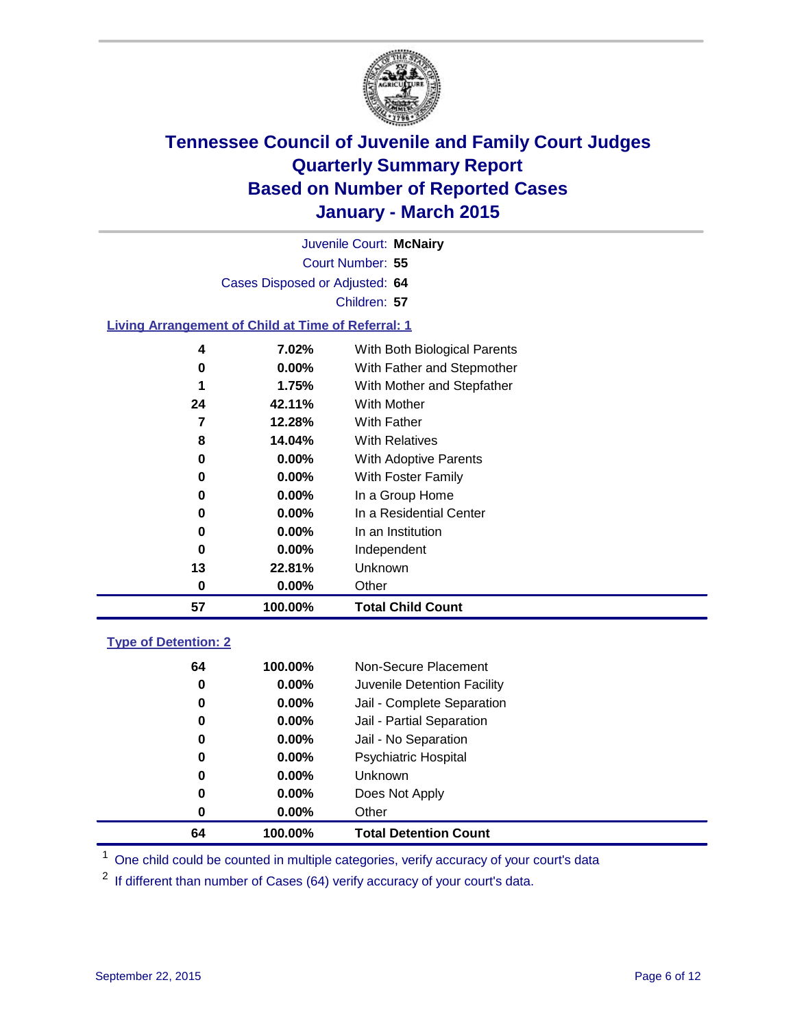

|                                                           |              |          | Juvenile Court: McNairy      |  |  |  |
|-----------------------------------------------------------|--------------|----------|------------------------------|--|--|--|
| Court Number: 55                                          |              |          |                              |  |  |  |
| Cases Disposed or Adjusted: 64                            |              |          |                              |  |  |  |
|                                                           | Children: 57 |          |                              |  |  |  |
| <b>Living Arrangement of Child at Time of Referral: 1</b> |              |          |                              |  |  |  |
|                                                           | 4            | 7.02%    | With Both Biological Parents |  |  |  |
|                                                           | 0            | $0.00\%$ | With Father and Stepmother   |  |  |  |
|                                                           | 1            | 1.75%    | With Mother and Stepfather   |  |  |  |
|                                                           | 24           | 42.11%   | With Mother                  |  |  |  |
|                                                           |              | 10000    | $\cdots$ $\cdots$            |  |  |  |

| 57 | 100.00%  | <b>Total Child Count</b> |
|----|----------|--------------------------|
| 0  | $0.00\%$ | Other                    |
| 13 | 22.81%   | Unknown                  |
| 0  | $0.00\%$ | Independent              |
| 0  | $0.00\%$ | In an Institution        |
| 0  | $0.00\%$ | In a Residential Center  |
| 0  | $0.00\%$ | In a Group Home          |
| 0  | $0.00\%$ | With Foster Family       |
| 0  | $0.00\%$ | With Adoptive Parents    |
| 8  | 14.04%   | <b>With Relatives</b>    |
| 7  | 12.28%   | With Father              |
| 24 | 42.11%   | <b>With Mother</b>       |

### **Type of Detention: 2**

| 64 | 100.00%  | Non-Secure Placement         |
|----|----------|------------------------------|
|    |          |                              |
| 0  | $0.00\%$ | Juvenile Detention Facility  |
| 0  | $0.00\%$ | Jail - Complete Separation   |
| 0  | $0.00\%$ | Jail - Partial Separation    |
| 0  | $0.00\%$ | Jail - No Separation         |
| 0  | $0.00\%$ | <b>Psychiatric Hospital</b>  |
| 0  | $0.00\%$ | <b>Unknown</b>               |
| 0  | $0.00\%$ | Does Not Apply               |
| 0  | $0.00\%$ | Other                        |
| 64 | 100.00%  | <b>Total Detention Count</b> |

<sup>1</sup> One child could be counted in multiple categories, verify accuracy of your court's data

If different than number of Cases (64) verify accuracy of your court's data.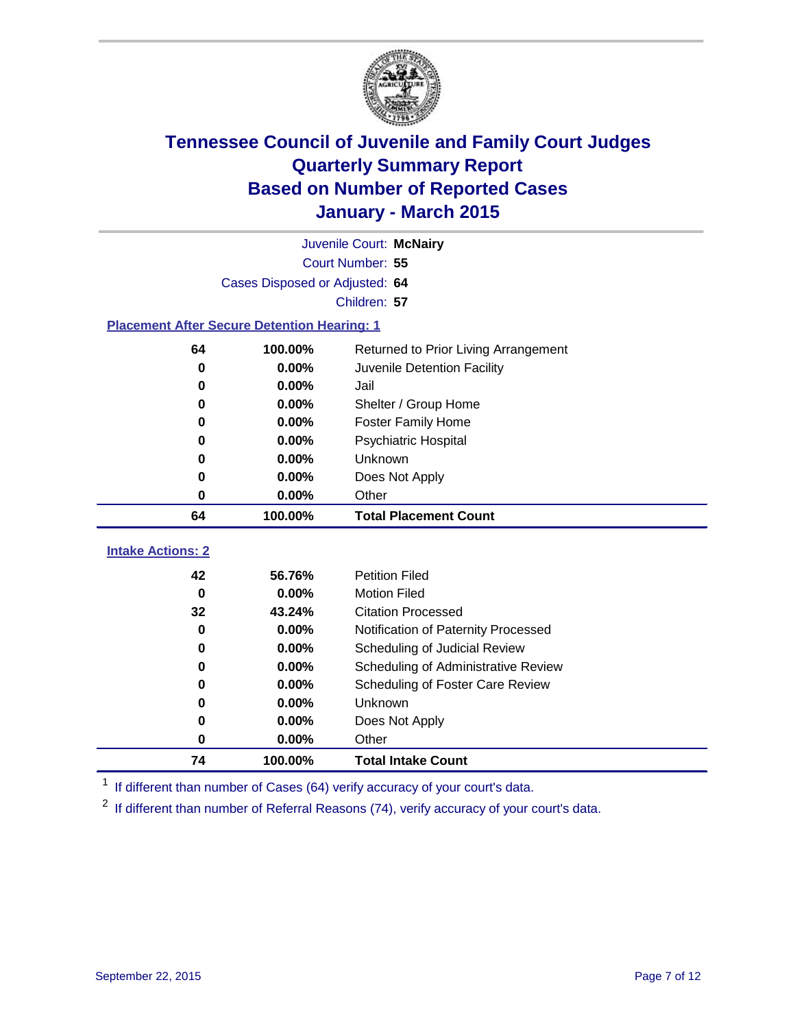

|                                                    | Juvenile Court: McNairy        |                                      |  |  |
|----------------------------------------------------|--------------------------------|--------------------------------------|--|--|
|                                                    | Court Number: 55               |                                      |  |  |
|                                                    | Cases Disposed or Adjusted: 64 |                                      |  |  |
|                                                    |                                | Children: 57                         |  |  |
| <b>Placement After Secure Detention Hearing: 1</b> |                                |                                      |  |  |
| 64                                                 | 100.00%                        | Returned to Prior Living Arrangement |  |  |
| $\bf{0}$                                           | 0.00%                          | Juvenile Detention Facility          |  |  |
| 0                                                  | 0.00%                          | Jail                                 |  |  |
| 0                                                  | 0.00%                          | Shelter / Group Home                 |  |  |
| $\bf{0}$                                           | 0.00%                          | <b>Foster Family Home</b>            |  |  |
| $\bf{0}$                                           | 0.00%                          | <b>Psychiatric Hospital</b>          |  |  |
| 0                                                  | 0.00%                          | Unknown                              |  |  |
| $\bf{0}$                                           | 0.00%                          | Does Not Apply                       |  |  |
| $\bf{0}$                                           | 0.00%                          | Other                                |  |  |
| 64                                                 | 100.00%                        | <b>Total Placement Count</b>         |  |  |
| <b>Intake Actions: 2</b>                           |                                |                                      |  |  |
| 42                                                 | 56.76%                         | <b>Petition Filed</b>                |  |  |
| $\bf{0}$                                           | 0.00%                          | <b>Motion Filed</b>                  |  |  |
| 32                                                 | 43.24%                         | <b>Citation Processed</b>            |  |  |
| $\bf{0}$                                           | 0.00%                          | Notification of Paternity Processed  |  |  |
| 0                                                  | 0.00%                          | Scheduling of Judicial Review        |  |  |
| 0                                                  | 0.00%                          | Scheduling of Administrative Review  |  |  |
| 0                                                  | 0.00%                          | Scheduling of Foster Care Review     |  |  |
| $\bf{0}$                                           | 0.00%                          | Unknown                              |  |  |
|                                                    |                                |                                      |  |  |
| $\bf{0}$                                           |                                |                                      |  |  |
| $\bf{0}$                                           | 0.00%<br>0.00%                 | Does Not Apply<br>Other              |  |  |

<sup>1</sup> If different than number of Cases (64) verify accuracy of your court's data.

<sup>2</sup> If different than number of Referral Reasons (74), verify accuracy of your court's data.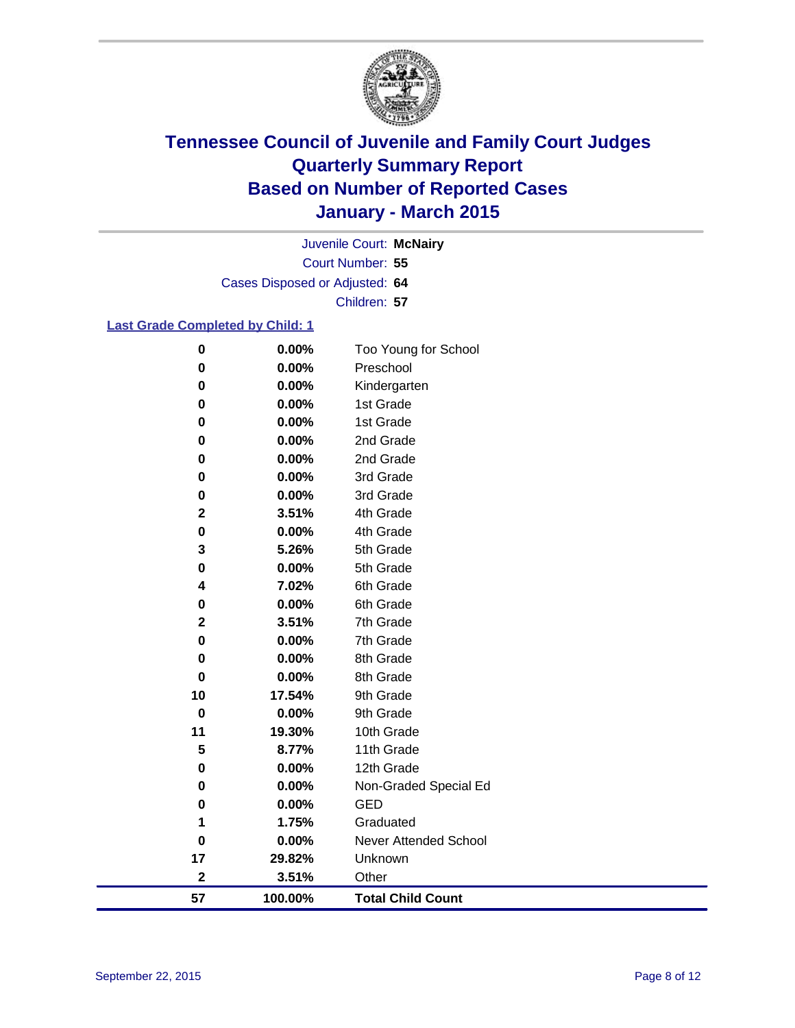

Court Number: **55** Juvenile Court: **McNairy** Cases Disposed or Adjusted: **64** Children: **57**

### **Last Grade Completed by Child: 1**

| 0                       | 0.00%   | Too Young for School         |
|-------------------------|---------|------------------------------|
| 0                       | 0.00%   | Preschool                    |
| 0                       | 0.00%   | Kindergarten                 |
| 0                       | 0.00%   | 1st Grade                    |
| 0                       | 0.00%   | 1st Grade                    |
| 0                       | 0.00%   | 2nd Grade                    |
| 0                       | 0.00%   | 2nd Grade                    |
| 0                       | 0.00%   | 3rd Grade                    |
| 0                       | 0.00%   | 3rd Grade                    |
| $\mathbf 2$             | 3.51%   | 4th Grade                    |
| 0                       | 0.00%   | 4th Grade                    |
| 3                       | 5.26%   | 5th Grade                    |
| 0                       | 0.00%   | 5th Grade                    |
| 4                       | 7.02%   | 6th Grade                    |
| 0                       | 0.00%   | 6th Grade                    |
| $\mathbf 2$             | 3.51%   | 7th Grade                    |
| 0                       | 0.00%   | 7th Grade                    |
| 0                       | 0.00%   | 8th Grade                    |
| 0                       | 0.00%   | 8th Grade                    |
| 10                      | 17.54%  | 9th Grade                    |
| 0                       | 0.00%   | 9th Grade                    |
| 11                      | 19.30%  | 10th Grade                   |
| 5                       | 8.77%   | 11th Grade                   |
| 0                       | 0.00%   | 12th Grade                   |
| 0                       | 0.00%   | Non-Graded Special Ed        |
| 0                       | 0.00%   | <b>GED</b>                   |
| 1                       | 1.75%   | Graduated                    |
| 0                       | 0.00%   | <b>Never Attended School</b> |
| 17                      | 29.82%  | Unknown                      |
| $\overline{\mathbf{2}}$ | 3.51%   | Other                        |
| 57                      | 100.00% | <b>Total Child Count</b>     |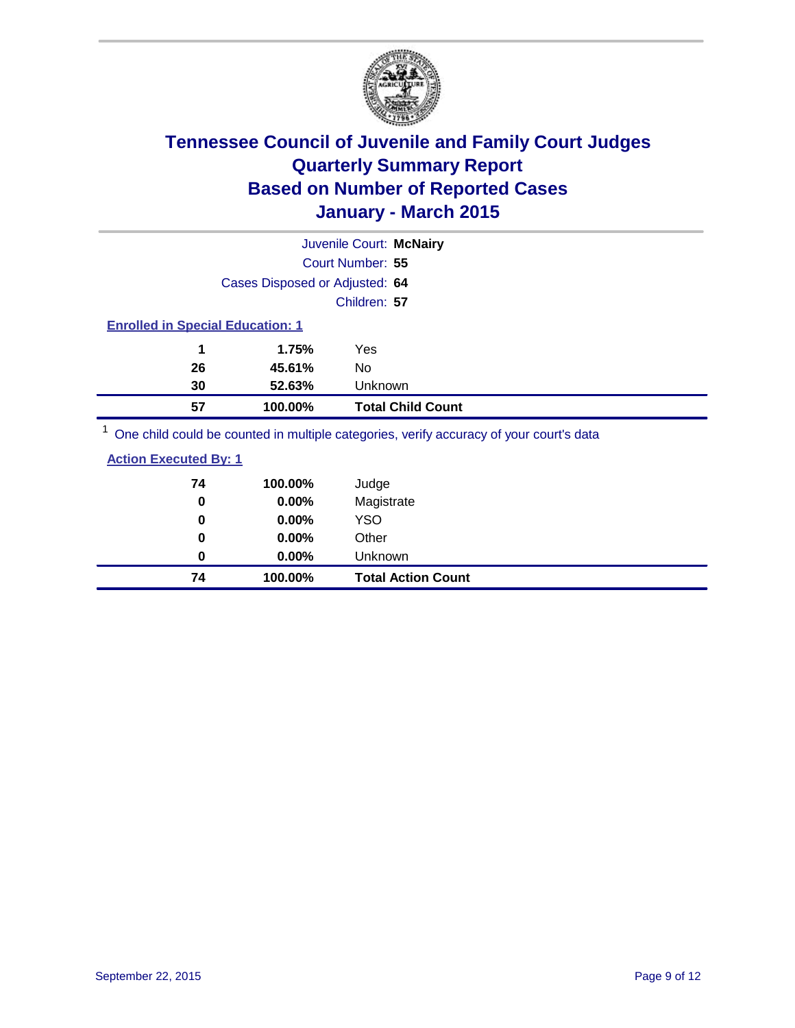

|                                                                                          | Juvenile Court: McNairy                                                                                         |
|------------------------------------------------------------------------------------------|-----------------------------------------------------------------------------------------------------------------|
|                                                                                          | Court Number: 55                                                                                                |
| Cases Disposed or Adjusted: 64                                                           |                                                                                                                 |
|                                                                                          | Children: 57                                                                                                    |
| <b>Enrolled in Special Education: 1</b>                                                  |                                                                                                                 |
| 1<br>1.75%                                                                               | Yes                                                                                                             |
| 45.61%<br>26                                                                             | No                                                                                                              |
| 30<br>52.63%                                                                             | Unknown                                                                                                         |
| 57<br>100.00%                                                                            | <b>Total Child Count</b>                                                                                        |
| $1 -$<br>the contract of the contract of the contract of the contract of the contract of | the contract of the contract of the contract of the contract of the contract of the contract of the contract of |

One child could be counted in multiple categories, verify accuracy of your court's data

| 74 | 100.00%  | Judge                     |
|----|----------|---------------------------|
| 0  | 0.00%    | Magistrate                |
| 0  | $0.00\%$ | <b>YSO</b>                |
| 0  | 0.00%    | Other                     |
| 0  | $0.00\%$ | Unknown                   |
| 74 | 100.00%  | <b>Total Action Count</b> |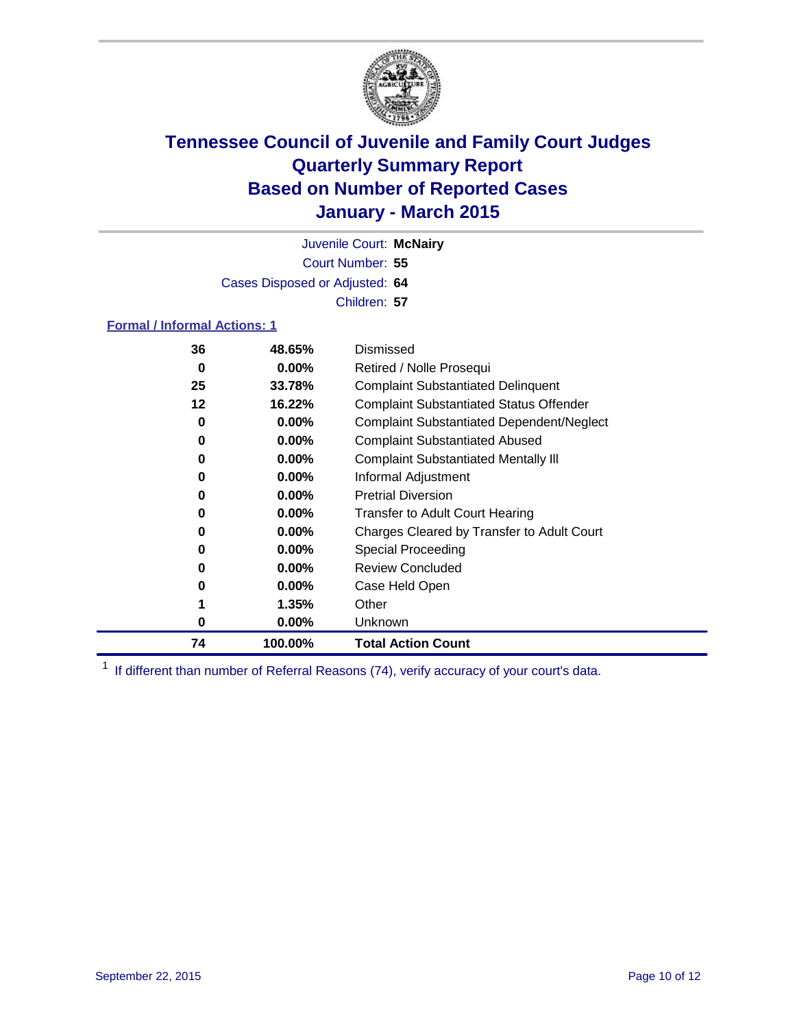

Court Number: **55** Juvenile Court: **McNairy** Cases Disposed or Adjusted: **64** Children: **57**

### **Formal / Informal Actions: 1**

| 36 | 48.65%   | Dismissed                                        |
|----|----------|--------------------------------------------------|
| 0  | $0.00\%$ | Retired / Nolle Prosequi                         |
| 25 | 33.78%   | <b>Complaint Substantiated Delinquent</b>        |
| 12 | 16.22%   | <b>Complaint Substantiated Status Offender</b>   |
| 0  | $0.00\%$ | <b>Complaint Substantiated Dependent/Neglect</b> |
| 0  | $0.00\%$ | <b>Complaint Substantiated Abused</b>            |
| 0  | $0.00\%$ | <b>Complaint Substantiated Mentally III</b>      |
| 0  | $0.00\%$ | Informal Adjustment                              |
| 0  | $0.00\%$ | <b>Pretrial Diversion</b>                        |
| 0  | $0.00\%$ | <b>Transfer to Adult Court Hearing</b>           |
| 0  | $0.00\%$ | Charges Cleared by Transfer to Adult Court       |
| 0  | $0.00\%$ | Special Proceeding                               |
| 0  | $0.00\%$ | <b>Review Concluded</b>                          |
| 0  | $0.00\%$ | Case Held Open                                   |
|    | 1.35%    | Other                                            |
| 0  | $0.00\%$ | Unknown                                          |
| 74 | 100.00%  | <b>Total Action Count</b>                        |

<sup>1</sup> If different than number of Referral Reasons (74), verify accuracy of your court's data.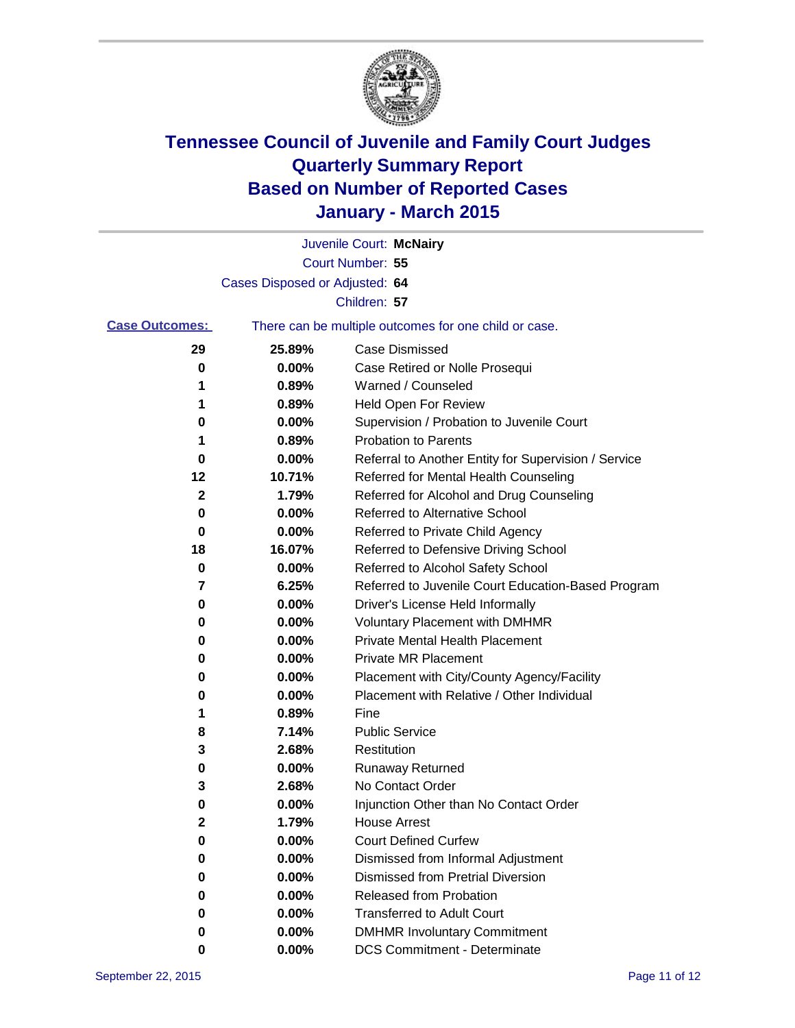

|                       |                                | Juvenile Court: McNairy                               |
|-----------------------|--------------------------------|-------------------------------------------------------|
|                       |                                | Court Number: 55                                      |
|                       | Cases Disposed or Adjusted: 64 |                                                       |
|                       |                                | Children: 57                                          |
| <b>Case Outcomes:</b> |                                | There can be multiple outcomes for one child or case. |
| 29                    | 25.89%                         | <b>Case Dismissed</b>                                 |
| 0                     | 0.00%                          | Case Retired or Nolle Prosequi                        |
| 1                     | 0.89%                          | Warned / Counseled                                    |
| 1                     | 0.89%                          | Held Open For Review                                  |
| 0                     | 0.00%                          | Supervision / Probation to Juvenile Court             |
| 1                     | 0.89%                          | <b>Probation to Parents</b>                           |
| 0                     | 0.00%                          | Referral to Another Entity for Supervision / Service  |
| 12                    | 10.71%                         | Referred for Mental Health Counseling                 |
| 2                     | 1.79%                          | Referred for Alcohol and Drug Counseling              |
| 0                     | 0.00%                          | <b>Referred to Alternative School</b>                 |
| 0                     | 0.00%                          | Referred to Private Child Agency                      |
| 18                    | 16.07%                         | Referred to Defensive Driving School                  |
| 0                     | 0.00%                          | Referred to Alcohol Safety School                     |
| 7                     | 6.25%                          | Referred to Juvenile Court Education-Based Program    |
| 0                     | 0.00%                          | Driver's License Held Informally                      |
| 0                     | 0.00%                          | <b>Voluntary Placement with DMHMR</b>                 |
| 0                     | 0.00%                          | <b>Private Mental Health Placement</b>                |
| 0                     | 0.00%                          | <b>Private MR Placement</b>                           |
| 0                     | 0.00%                          | Placement with City/County Agency/Facility            |
| 0                     | 0.00%                          | Placement with Relative / Other Individual            |
| 1                     | 0.89%                          | Fine                                                  |
| 8                     | 7.14%                          | <b>Public Service</b>                                 |
| 3                     | 2.68%                          | Restitution                                           |
| 0                     | 0.00%                          | <b>Runaway Returned</b>                               |
| 3                     | 2.68%                          | No Contact Order                                      |
| 0                     | 0.00%                          | Injunction Other than No Contact Order                |
| 2                     | 1.79%                          | <b>House Arrest</b>                                   |
| 0                     | 0.00%                          | <b>Court Defined Curfew</b>                           |
| 0                     | 0.00%                          | Dismissed from Informal Adjustment                    |
| 0                     | 0.00%                          | Dismissed from Pretrial Diversion                     |
| 0                     | 0.00%                          | Released from Probation                               |
| 0                     | 0.00%                          | <b>Transferred to Adult Court</b>                     |
| 0                     | 0.00%                          | <b>DMHMR Involuntary Commitment</b>                   |
| 0                     | $0.00\%$                       | <b>DCS Commitment - Determinate</b>                   |